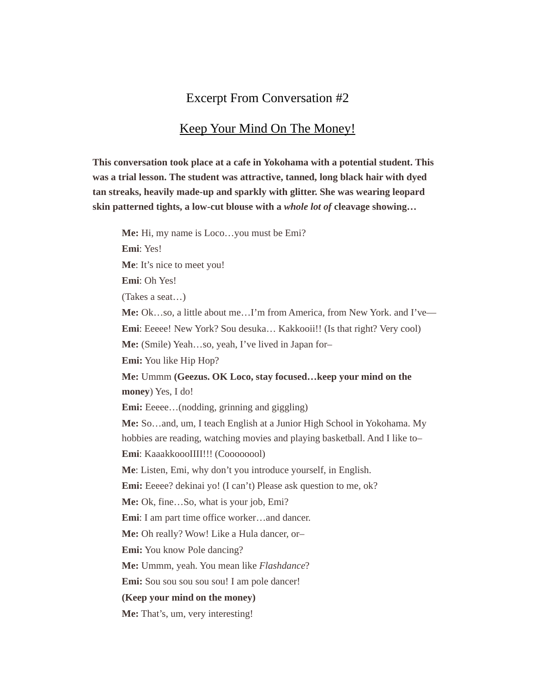## Excerpt From Conversation #2

## Keep Your Mind On The Money!

**This conversation took place at a cafe in Yokohama with a potential student. This was a trial lesson. The student was attractive, tanned, long black hair with dyed tan streaks, heavily made-up and sparkly with glitter. She was wearing leopard skin patterned tights, a low-cut blouse with a** *whole lot of* **cleavage showing…**

**Me:** Hi, my name is Loco…you must be Emi? **Emi**: Yes! **Me**: It's nice to meet you! **Emi**: Oh Yes! (Takes a seat…) **Me:** Ok…so, a little about me…I'm from America, from New York. and I've— **Emi**: Eeeee! New York? Sou desuka... Kakkooii!! (Is that right? Very cool) **Me:** (Smile) Yeah…so, yeah, I've lived in Japan for– **Emi:** You like Hip Hop? **Me:** Ummm **(Geezus. OK Loco, stay focused…keep your mind on the money**) Yes, I do! **Emi:** Eeeee...(nodding, grinning and giggling) **Me:** So…and, um, I teach English at a Junior High School in Yokohama. My hobbies are reading, watching movies and playing basketball. And I like to– **Emi**: KaaakkoooIIII!!! (Coooooool) **Me**: Listen, Emi, why don't you introduce yourself, in English. **Emi:** Eeeee? dekinai yo! (I can't) Please ask question to me, ok? **Me:** Ok, fine…So, what is your job, Emi? **Emi**: I am part time office worker…and dancer. **Me:** Oh really? Wow! Like a Hula dancer, or– **Emi:** You know Pole dancing? **Me:** Ummm, yeah. You mean like *Flashdance*? **Emi:** Sou sou sou sou sou! I am pole dancer! **(Keep your mind on the money)**

**Me:** That's, um, very interesting!